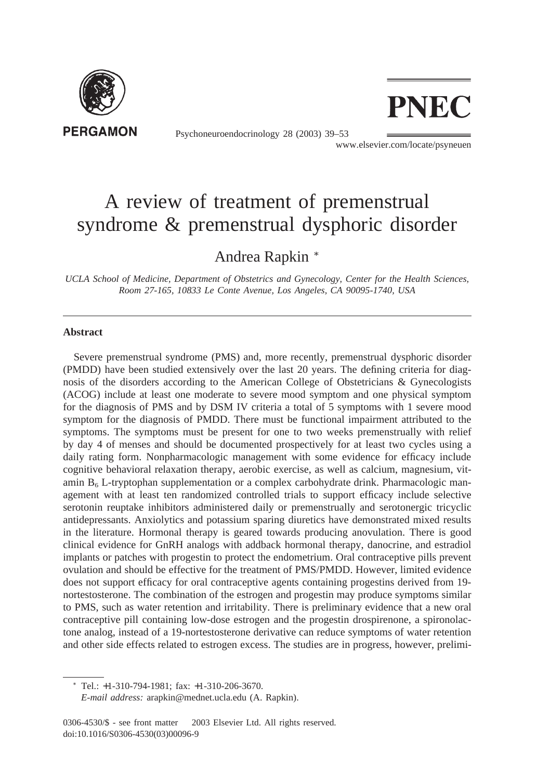

Psychoneuroendocrinology 28 (2003) 39–53



www.elsevier.com/locate/psyneuen

## A review of treatment of premenstrual syndrome & premenstrual dysphoric disorder

## Andrea Rapkin <sup>∗</sup>

*UCLA School of Medicine, Department of Obstetrics and Gynecology, Center for the Health Sciences, Room 27-165, 10833 Le Conte Avenue, Los Angeles, CA 90095-1740, USA*

## **Abstract**

Severe premenstrual syndrome (PMS) and, more recently, premenstrual dysphoric disorder (PMDD) have been studied extensively over the last 20 years. The defining criteria for diagnosis of the disorders according to the American College of Obstetricians & Gynecologists (ACOG) include at least one moderate to severe mood symptom and one physical symptom for the diagnosis of PMS and by DSM IV criteria a total of 5 symptoms with 1 severe mood symptom for the diagnosis of PMDD. There must be functional impairment attributed to the symptoms. The symptoms must be present for one to two weeks premenstrually with relief by day 4 of menses and should be documented prospectively for at least two cycles using a daily rating form. Nonpharmacologic management with some evidence for efficacy include cognitive behavioral relaxation therapy, aerobic exercise, as well as calcium, magnesium, vitamin  $B_6$  L-tryptophan supplementation or a complex carbohydrate drink. Pharmacologic management with at least ten randomized controlled trials to support efficacy include selective serotonin reuptake inhibitors administered daily or premenstrually and serotonergic tricyclic antidepressants. Anxiolytics and potassium sparing diuretics have demonstrated mixed results in the literature. Hormonal therapy is geared towards producing anovulation. There is good clinical evidence for GnRH analogs with addback hormonal therapy, danocrine, and estradiol implants or patches with progestin to protect the endometrium. Oral contraceptive pills prevent ovulation and should be effective for the treatment of PMS/PMDD. However, limited evidence does not support efficacy for oral contraceptive agents containing progestins derived from 19 nortestosterone. The combination of the estrogen and progestin may produce symptoms similar to PMS, such as water retention and irritability. There is preliminary evidence that a new oral contraceptive pill containing low-dose estrogen and the progestin drospirenone, a spironolactone analog, instead of a 19-nortestosterone derivative can reduce symptoms of water retention and other side effects related to estrogen excess. The studies are in progress, however, prelimi-

<sup>∗</sup> Tel.: +1-310-794-1981; fax: +1-310-206-3670.

*E-mail address:* arapkin@mednet.ucla.edu (A. Rapkin).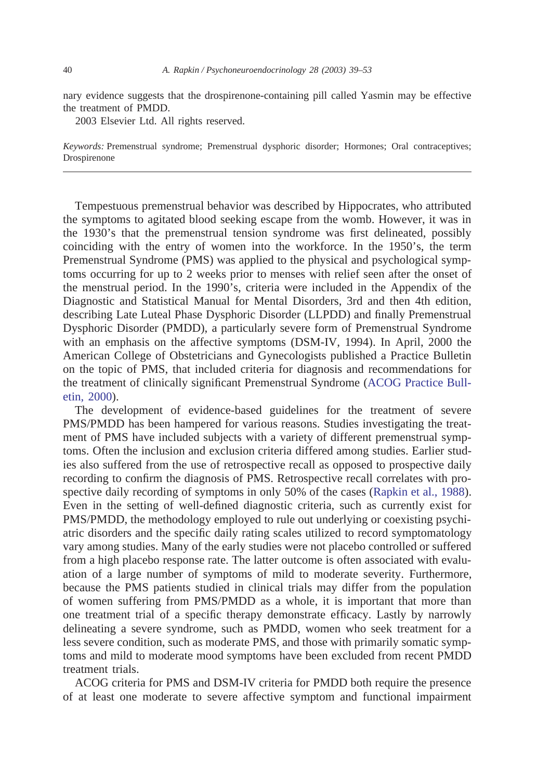nary evidence suggests that the drospirenone-containing pill called Yasmin may be effective the treatment of PMDD.

2003 Elsevier Ltd. All rights reserved.

*Keywords:* Premenstrual syndrome; Premenstrual dysphoric disorder; Hormones; Oral contraceptives; Drospirenone

Tempestuous premenstrual behavior was described by Hippocrates, who attributed the symptoms to agitated blood seeking escape from the womb. However, it was in the 1930's that the premenstrual tension syndrome was first delineated, possibly coinciding with the entry of women into the workforce. In the 1950's, the term Premenstrual Syndrome (PMS) was applied to the physical and psychological symptoms occurring for up to 2 weeks prior to menses with relief seen after the onset of the menstrual period. In the 1990's, criteria were included in the Appendix of the Diagnostic and Statistical Manual for Mental Disorders, 3rd and then 4th edition, describing Late Luteal Phase Dysphoric Disorder (LLPDD) and finally Premenstrual Dysphoric Disorder (PMDD), a particularly severe form of Premenstrual Syndrome with an emphasis on the affective symptoms (DSM-IV, 1994). In April, 2000 the American College of Obstetricians and Gynecologists published a Practice Bulletin on the topic of PMS, that included criteria for diagnosis and recommendations for the treatment of clinically significant Premenstrual Syndrome [\(ACOG Practice Bull](#page--1-0)[etin, 2000\)](#page--1-0).

The development of evidence-based guidelines for the treatment of severe PMS/PMDD has been hampered for various reasons. Studies investigating the treatment of PMS have included subjects with a variety of different premenstrual symptoms. Often the inclusion and exclusion criteria differed among studies. Earlier studies also suffered from the use of retrospective recall as opposed to prospective daily recording to confirm the diagnosis of PMS. Retrospective recall correlates with prospective daily recording of symptoms in only 50% of the cases [\(Rapkin et al., 1988\)](#page--1-0). Even in the setting of well-defined diagnostic criteria, such as currently exist for PMS/PMDD, the methodology employed to rule out underlying or coexisting psychiatric disorders and the specific daily rating scales utilized to record symptomatology vary among studies. Many of the early studies were not placebo controlled or suffered from a high placebo response rate. The latter outcome is often associated with evaluation of a large number of symptoms of mild to moderate severity. Furthermore, because the PMS patients studied in clinical trials may differ from the population of women suffering from PMS/PMDD as a whole, it is important that more than one treatment trial of a specific therapy demonstrate efficacy. Lastly by narrowly delineating a severe syndrome, such as PMDD, women who seek treatment for a less severe condition, such as moderate PMS, and those with primarily somatic symptoms and mild to moderate mood symptoms have been excluded from recent PMDD treatment trials.

ACOG criteria for PMS and DSM-IV criteria for PMDD both require the presence of at least one moderate to severe affective symptom and functional impairment